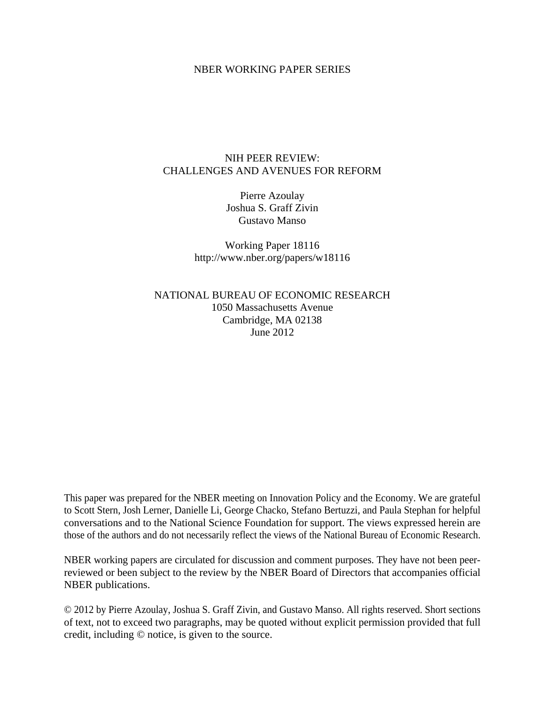#### NBER WORKING PAPER SERIES

### NIH PEER REVIEW: CHALLENGES AND AVENUES FOR REFORM

Pierre Azoulay Joshua S. Graff Zivin Gustavo Manso

Working Paper 18116 http://www.nber.org/papers/w18116

NATIONAL BUREAU OF ECONOMIC RESEARCH 1050 Massachusetts Avenue Cambridge, MA 02138 June 2012

This paper was prepared for the NBER meeting on Innovation Policy and the Economy. We are grateful to Scott Stern, Josh Lerner, Danielle Li, George Chacko, Stefano Bertuzzi, and Paula Stephan for helpful conversations and to the National Science Foundation for support. The views expressed herein are those of the authors and do not necessarily reflect the views of the National Bureau of Economic Research.

NBER working papers are circulated for discussion and comment purposes. They have not been peerreviewed or been subject to the review by the NBER Board of Directors that accompanies official NBER publications.

© 2012 by Pierre Azoulay, Joshua S. Graff Zivin, and Gustavo Manso. All rights reserved. Short sections of text, not to exceed two paragraphs, may be quoted without explicit permission provided that full credit, including © notice, is given to the source.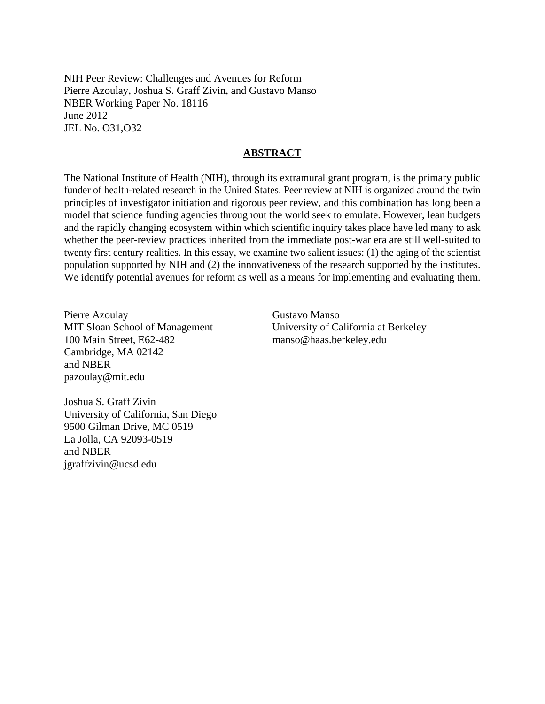NIH Peer Review: Challenges and Avenues for Reform Pierre Azoulay, Joshua S. Graff Zivin, and Gustavo Manso NBER Working Paper No. 18116 June 2012 JEL No. O31,O32

### **ABSTRACT**

The National Institute of Health (NIH), through its extramural grant program, is the primary public funder of health-related research in the United States. Peer review at NIH is organized around the twin principles of investigator initiation and rigorous peer review, and this combination has long been a model that science funding agencies throughout the world seek to emulate. However, lean budgets and the rapidly changing ecosystem within which scientific inquiry takes place have led many to ask whether the peer-review practices inherited from the immediate post-war era are still well-suited to twenty first century realities. In this essay, we examine two salient issues: (1) the aging of the scientist population supported by NIH and (2) the innovativeness of the research supported by the institutes. We identify potential avenues for reform as well as a means for implementing and evaluating them.

Pierre Azoulay MIT Sloan School of Management 100 Main Street, E62-482 Cambridge, MA 02142 and NBER pazoulay@mit.edu

Gustavo Manso University of California at Berkeley manso@haas.berkeley.edu

Joshua S. Graff Zivin University of California, San Diego 9500 Gilman Drive, MC 0519 La Jolla, CA 92093-0519 and NBER jgraffzivin@ucsd.edu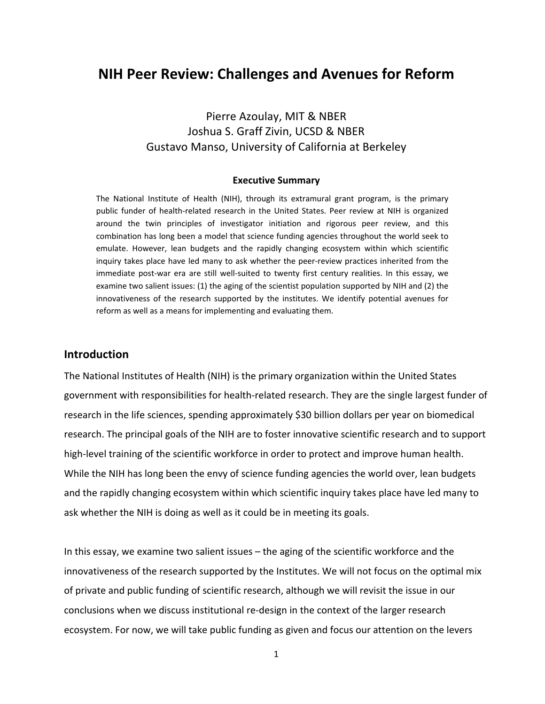# **NIH Peer Review: Challenges and Avenues for Reform**

Pierre Azoulay, MIT & NBER Joshua S. Graff Zivin, UCSD & NBER Gustavo Manso, University of California at Berkeley

#### **Executive Summary**

The National Institute of Health (NIH), through its extramural grant program, is the primary public funder of health‐related research in the United States. Peer review at NIH is organized around the twin principles of investigator initiation and rigorous peer review, and this combination has long been a model that science funding agencies throughout the world seek to emulate. However, lean budgets and the rapidly changing ecosystem within which scientific inquiry takes place have led many to ask whether the peer-review practices inherited from the immediate post-war era are still well-suited to twenty first century realities. In this essay, we examine two salient issues: (1) the aging of the scientist population supported by NIH and (2) the innovativeness of the research supported by the institutes. We identify potential avenues for reform as well as a means for implementing and evaluating them.

#### **Introduction**

The National Institutes of Health (NIH) is the primary organization within the United States government with responsibilities for health‐related research. They are the single largest funder of research in the life sciences, spending approximately \$30 billion dollars per year on biomedical research. The principal goals of the NIH are to foster innovative scientific research and to support high-level training of the scientific workforce in order to protect and improve human health. While the NIH has long been the envy of science funding agencies the world over, lean budgets and the rapidly changing ecosystem within which scientific inquiry takes place have led many to ask whether the NIH is doing as well as it could be in meeting its goals.

In this essay, we examine two salient issues – the aging of the scientific workforce and the innovativeness of the research supported by the Institutes. We will not focus on the optimal mix of private and public funding of scientific research, although we will revisit the issue in our conclusions when we discuss institutional re‐design in the context of the larger research ecosystem. For now, we will take public funding as given and focus our attention on the levers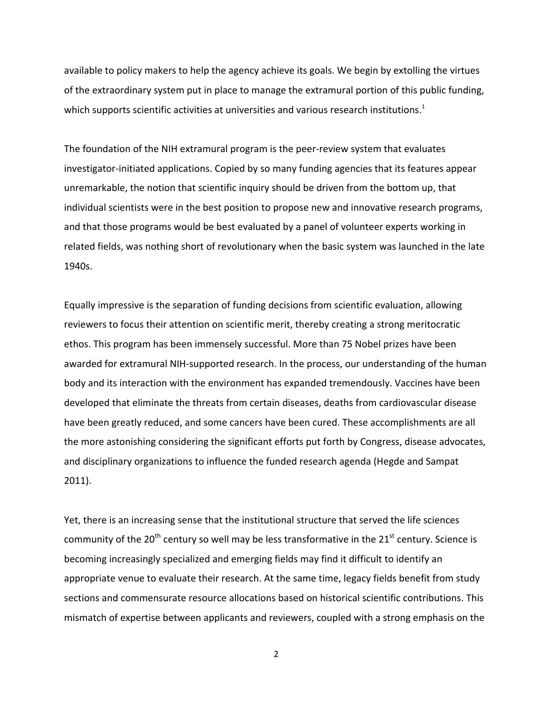available to policy makers to help the agency achieve its goals. We begin by extolling the virtues of the extraordinary system put in place to manage the extramural portion of this public funding, which supports scientific activities at universities and various research institutions. $1$ 

The foundation of the NIH extramural program is the peer‐review system that evaluates investigator‐initiated applications. Copied by so many funding agencies that its features appear unremarkable, the notion that scientific inquiry should be driven from the bottom up, that individual scientists were in the best position to propose new and innovative research programs, and that those programs would be best evaluated by a panel of volunteer experts working in related fields, was nothing short of revolutionary when the basic system was launched in the late 1940s.

Equally impressive is the separation of funding decisions from scientific evaluation, allowing reviewers to focus their attention on scientific merit, thereby creating a strong meritocratic ethos. This program has been immensely successful. More than 75 Nobel prizes have been awarded for extramural NIH‐supported research. In the process, our understanding of the human body and its interaction with the environment has expanded tremendously. Vaccines have been developed that eliminate the threats from certain diseases, deaths from cardiovascular disease have been greatly reduced, and some cancers have been cured. These accomplishments are all the more astonishing considering the significant efforts put forth by Congress, disease advocates, and disciplinary organizations to influence the funded research agenda (Hegde and Sampat 2011).

Yet, there is an increasing sense that the institutional structure that served the life sciences community of the 20<sup>th</sup> century so well may be less transformative in the 21<sup>st</sup> century. Science is becoming increasingly specialized and emerging fields may find it difficult to identify an appropriate venue to evaluate their research. At the same time, legacy fields benefit from study sections and commensurate resource allocations based on historical scientific contributions. This mismatch of expertise between applicants and reviewers, coupled with a strong emphasis on the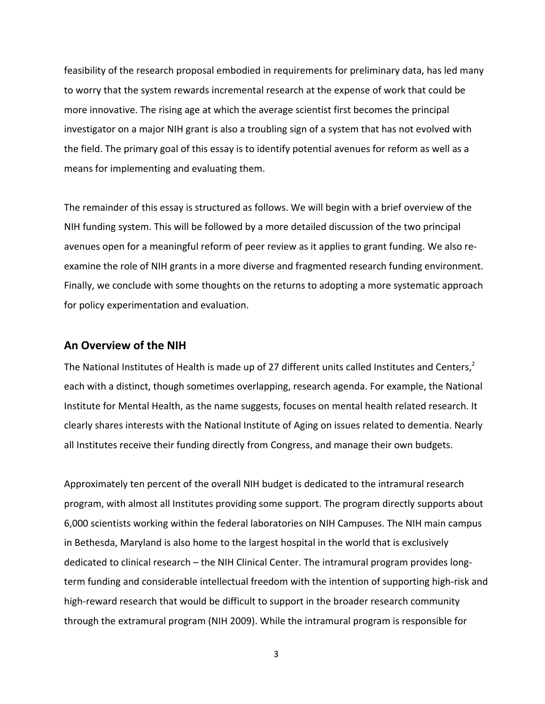feasibility of the research proposal embodied in requirements for preliminary data, has led many to worry that the system rewards incremental research at the expense of work that could be more innovative. The rising age at which the average scientist first becomes the principal investigator on a major NIH grant is also a troubling sign of a system that has not evolved with the field. The primary goal of this essay is to identify potential avenues for reform as well as a means for implementing and evaluating them.

The remainder of this essay is structured as follows. We will begin with a brief overview of the NIH funding system. This will be followed by a more detailed discussion of the two principal avenues open for a meaningful reform of peer review as it applies to grant funding. We also re‐ examine the role of NIH grants in a more diverse and fragmented research funding environment. Finally, we conclude with some thoughts on the returns to adopting a more systematic approach for policy experimentation and evaluation.

#### **An Overview of the NIH**

The National Institutes of Health is made up of 27 different units called Institutes and Centers,<sup>2</sup> each with a distinct, though sometimes overlapping, research agenda. For example, the National Institute for Mental Health, as the name suggests, focuses on mental health related research. It clearly shares interests with the National Institute of Aging on issues related to dementia. Nearly all Institutes receive their funding directly from Congress, and manage their own budgets.

Approximately ten percent of the overall NIH budget is dedicated to the intramural research program, with almost all Institutes providing some support. The program directly supports about 6,000 scientists working within the federal laboratories on NIH Campuses. The NIH main campus in Bethesda, Maryland is also home to the largest hospital in the world that is exclusively dedicated to clinical research – the NIH Clinical Center. The intramural program provides long‐ term funding and considerable intellectual freedom with the intention of supporting high‐risk and high-reward research that would be difficult to support in the broader research community through the extramural program (NIH 2009). While the intramural program is responsible for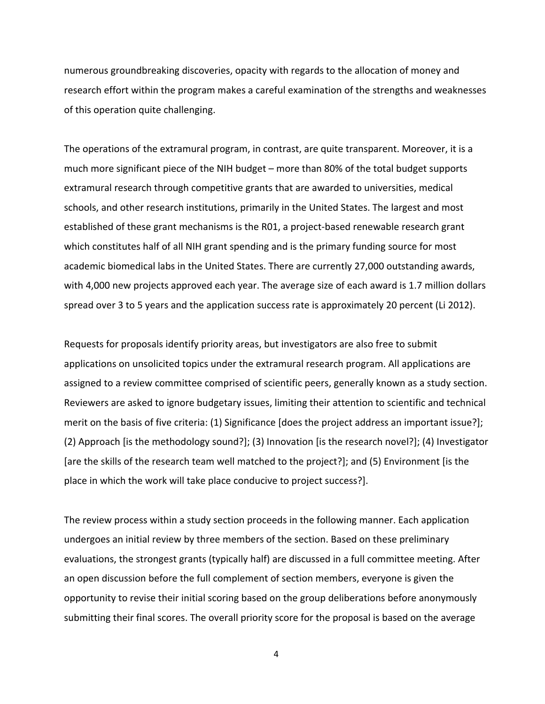numerous groundbreaking discoveries, opacity with regards to the allocation of money and research effort within the program makes a careful examination of the strengths and weaknesses of this operation quite challenging.

The operations of the extramural program, in contrast, are quite transparent. Moreover, it is a much more significant piece of the NIH budget – more than 80% of the total budget supports extramural research through competitive grants that are awarded to universities, medical schools, and other research institutions, primarily in the United States. The largest and most established of these grant mechanisms is the R01, a project-based renewable research grant which constitutes half of all NIH grant spending and is the primary funding source for most academic biomedical labs in the United States. There are currently 27,000 outstanding awards, with 4,000 new projects approved each year. The average size of each award is 1.7 million dollars spread over 3 to 5 years and the application success rate is approximately 20 percent (Li 2012).

Requests for proposals identify priority areas, but investigators are also free to submit applications on unsolicited topics under the extramural research program. All applications are assigned to a review committee comprised of scientific peers, generally known as a study section. Reviewers are asked to ignore budgetary issues, limiting their attention to scientific and technical merit on the basis of five criteria: (1) Significance [does the project address an important issue?]; (2) Approach [is the methodology sound?]; (3) Innovation [is the research novel?]; (4) Investigator [are the skills of the research team well matched to the project?]; and (5) Environment [is the place in which the work will take place conducive to project success?].

The review process within a study section proceeds in the following manner. Each application undergoes an initial review by three members of the section. Based on these preliminary evaluations, the strongest grants (typically half) are discussed in a full committee meeting. After an open discussion before the full complement of section members, everyone is given the opportunity to revise their initial scoring based on the group deliberations before anonymously submitting their final scores. The overall priority score for the proposal is based on the average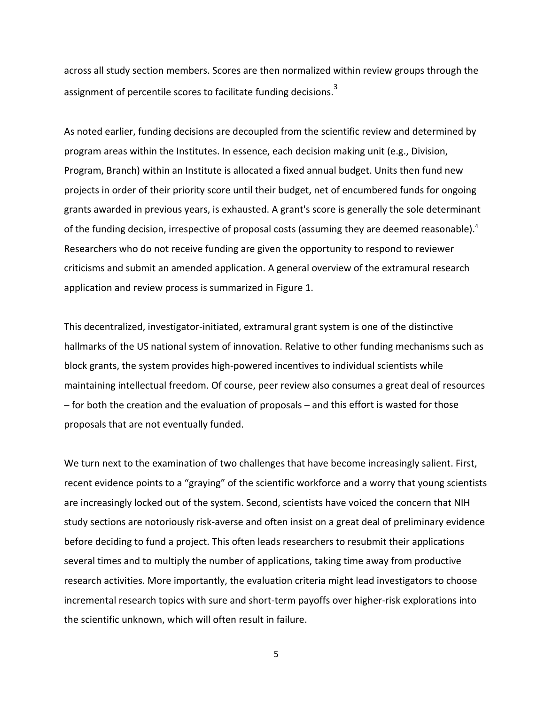across all study section members. Scores are then normalized within review groups through the assignment of percentile scores to facilitate funding decisions.<sup>3</sup>

As noted earlier, funding decisions are decoupled from the scientific review and determined by program areas within the Institutes. In essence, each decision making unit (e.g., Division, Program, Branch) within an Institute is allocated a fixed annual budget. Units then fund new projects in order of their priority score until their budget, net of encumbered funds for ongoing grants awarded in previous years, is exhausted. A grant's score is generally the sole determinant of the funding decision, irrespective of proposal costs (assuming they are deemed reasonable).<sup>4</sup> Researchers who do not receive funding are given the opportunity to respond to reviewer criticisms and submit an amended application. A general overview of the extramural research application and review process is summarized in Figure 1.

This decentralized, investigator‐initiated, extramural grant system is one of the distinctive hallmarks of the US national system of innovation. Relative to other funding mechanisms such as block grants, the system provides high‐powered incentives to individual scientists while maintaining intellectual freedom. Of course, peer review also consumes a great deal of resources – for both the creation and the evaluation of proposals – and this effort is wasted for those proposals that are not eventually funded.

We turn next to the examination of two challenges that have become increasingly salient. First, recent evidence points to a "graying" of the scientific workforce and a worry that young scientists are increasingly locked out of the system. Second, scientists have voiced the concern that NIH study sections are notoriously risk‐averse and often insist on a great deal of preliminary evidence before deciding to fund a project. This often leads researchers to resubmit their applications several times and to multiply the number of applications, taking time away from productive research activities. More importantly, the evaluation criteria might lead investigators to choose incremental research topics with sure and short-term payoffs over higher-risk explorations into the scientific unknown, which will often result in failure.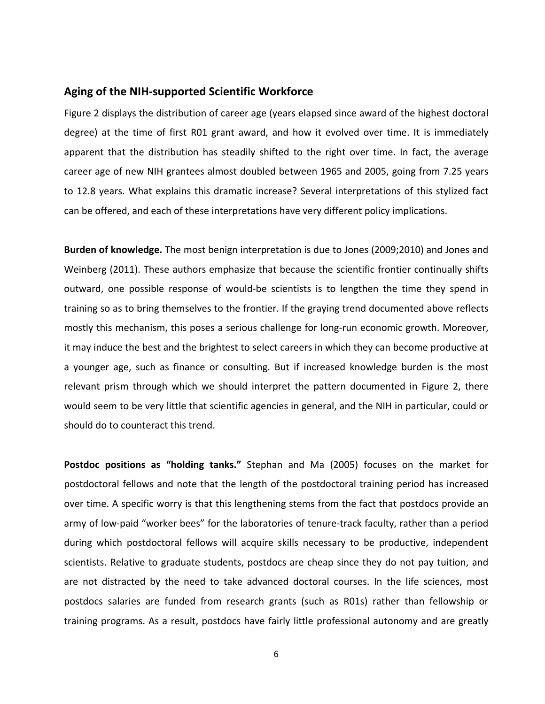#### **Aging of the NIH‐supported Scientific Workforce**

Figure 2 displays the distribution of career age (years elapsed since award of the highest doctoral degree) at the time of first R01 grant award, and how it evolved over time. It is immediately apparent that the distribution has steadily shifted to the right over time. In fact, the average career age of new NIH grantees almost doubled between 1965 and 2005, going from 7.25 years to 12.8 years. What explains this dramatic increase? Several interpretations of this stylized fact can be offered, and each of these interpretations have very different policy implications.

**Burden of knowledge.** The most benign interpretation is due to Jones (2009;2010) and Jones and Weinberg (2011). These authors emphasize that because the scientific frontier continually shifts outward, one possible response of would‐be scientists is to lengthen the time they spend in training so as to bring themselves to the frontier. If the graying trend documented above reflects mostly this mechanism, this poses a serious challenge for long‐run economic growth. Moreover, it may induce the best and the brightest to select careers in which they can become productive at a younger age, such as finance or consulting. But if increased knowledge burden is the most relevant prism through which we should interpret the pattern documented in Figure 2, there would seem to be very little that scientific agencies in general, and the NIH in particular, could or should do to counteract this trend.

**Postdoc positions as "holding tanks."** Stephan and Ma (2005) focuses on the market for postdoctoral fellows and note that the length of the postdoctoral training period has increased over time. A specific worry is that this lengthening stems from the fact that postdocs provide an army of low-paid "worker bees" for the laboratories of tenure-track faculty, rather than a period during which postdoctoral fellows will acquire skills necessary to be productive, independent scientists. Relative to graduate students, postdocs are cheap since they do not pay tuition, and are not distracted by the need to take advanced doctoral courses. In the life sciences, most postdocs salaries are funded from research grants (such as R01s) rather than fellowship or training programs. As a result, postdocs have fairly little professional autonomy and are greatly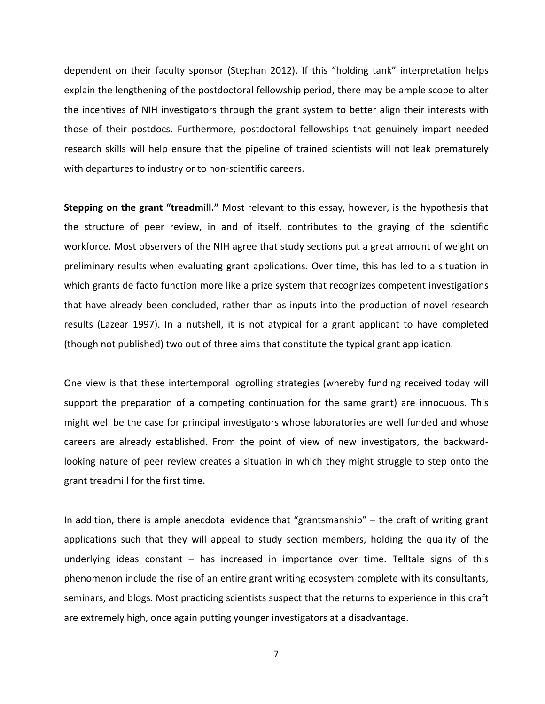dependent on their faculty sponsor (Stephan 2012). If this "holding tank" interpretation helps explain the lengthening of the postdoctoral fellowship period, there may be ample scope to alter the incentives of NIH investigators through the grant system to better align their interests with those of their postdocs. Furthermore, postdoctoral fellowships that genuinely impart needed research skills will help ensure that the pipeline of trained scientists will not leak prematurely with departures to industry or to non-scientific careers.

**Stepping on the grant "treadmill."** Most relevant to this essay, however, is the hypothesis that the structure of peer review, in and of itself, contributes to the graying of the scientific workforce. Most observers of the NIH agree that study sections put a great amount of weight on preliminary results when evaluating grant applications. Over time, this has led to a situation in which grants de facto function more like a prize system that recognizes competent investigations that have already been concluded, rather than as inputs into the production of novel research results (Lazear 1997). In a nutshell, it is not atypical for a grant applicant to have completed (though not published) two out of three aims that constitute the typical grant application.

One view is that these intertemporal logrolling strategies (whereby funding received today will support the preparation of a competing continuation for the same grant) are innocuous. This might well be the case for principal investigators whose laboratories are well funded and whose careers are already established. From the point of view of new investigators, the backward‐ looking nature of peer review creates a situation in which they might struggle to step onto the grant treadmill for the first time.

In addition, there is ample anecdotal evidence that "grantsmanship" – the craft of writing grant applications such that they will appeal to study section members, holding the quality of the underlying ideas constant – has increased in importance over time. Telltale signs of this phenomenon include the rise of an entire grant writing ecosystem complete with its consultants, seminars, and blogs. Most practicing scientists suspect that the returns to experience in this craft are extremely high, once again putting younger investigators at a disadvantage.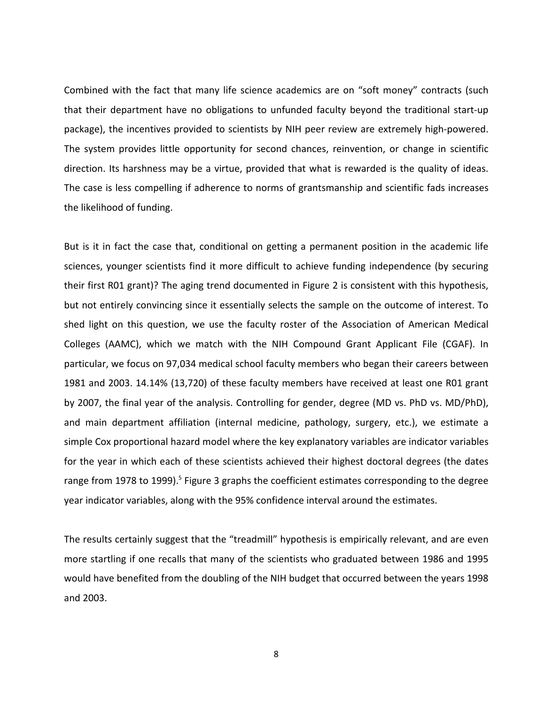Combined with the fact that many life science academics are on "soft money" contracts (such that their department have no obligations to unfunded faculty beyond the traditional start‐up package), the incentives provided to scientists by NIH peer review are extremely high‐powered. The system provides little opportunity for second chances, reinvention, or change in scientific direction. Its harshness may be a virtue, provided that what is rewarded is the quality of ideas. The case is less compelling if adherence to norms of grantsmanship and scientific fads increases the likelihood of funding.

But is it in fact the case that, conditional on getting a permanent position in the academic life sciences, younger scientists find it more difficult to achieve funding independence (by securing their first R01 grant)? The aging trend documented in Figure 2 is consistent with this hypothesis, but not entirely convincing since it essentially selects the sample on the outcome of interest. To shed light on this question, we use the faculty roster of the Association of American Medical Colleges (AAMC), which we match with the NIH Compound Grant Applicant File (CGAF). In particular, we focus on 97,034 medical school faculty members who began their careers between 1981 and 2003. 14.14% (13,720) of these faculty members have received at least one R01 grant by 2007, the final year of the analysis. Controlling for gender, degree (MD vs. PhD vs. MD/PhD), and main department affiliation (internal medicine, pathology, surgery, etc.), we estimate a simple Cox proportional hazard model where the key explanatory variables are indicator variables for the year in which each of these scientists achieved their highest doctoral degrees (the dates range from 1978 to 1999).<sup>5</sup> Figure 3 graphs the coefficient estimates corresponding to the degree year indicator variables, along with the 95% confidence interval around the estimates.

The results certainly suggest that the "treadmill" hypothesis is empirically relevant, and are even more startling if one recalls that many of the scientists who graduated between 1986 and 1995 would have benefited from the doubling of the NIH budget that occurred between the years 1998 and 2003.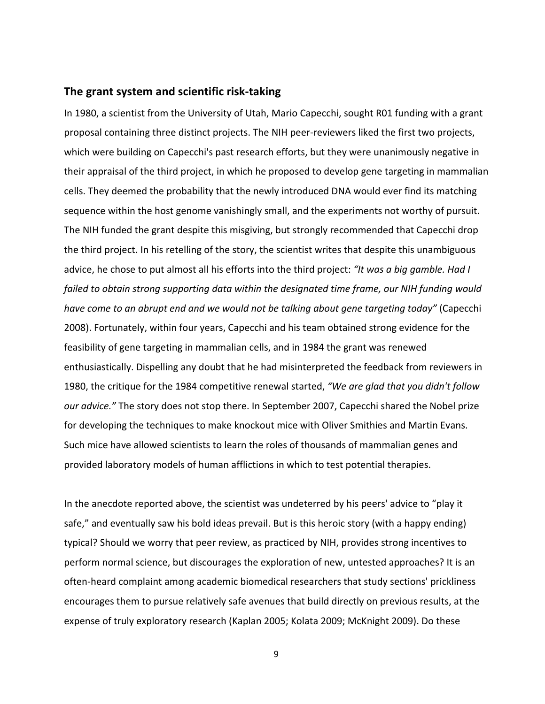#### **The grant system and scientific risk‐taking**

In 1980, a scientist from the University of Utah, Mario Capecchi, sought R01 funding with a grant proposal containing three distinct projects. The NIH peer‐reviewers liked the first two projects, which were building on Capecchi's past research efforts, but they were unanimously negative in their appraisal of the third project, in which he proposed to develop gene targeting in mammalian cells. They deemed the probability that the newly introduced DNA would ever find its matching sequence within the host genome vanishingly small, and the experiments not worthy of pursuit. The NIH funded the grant despite this misgiving, but strongly recommended that Capecchi drop the third project. In his retelling of the story, the scientist writes that despite this unambiguous advice, he chose to put almost all his efforts into the third project: *"It was a big gamble. Had I failed to obtain strong supporting data within the designated time frame, our NIH funding would have come to an abrupt end and we would not be talking about gene targeting today"* (Capecchi 2008). Fortunately, within four years, Capecchi and his team obtained strong evidence for the feasibility of gene targeting in mammalian cells, and in 1984 the grant was renewed enthusiastically. Dispelling any doubt that he had misinterpreted the feedback from reviewers in 1980, the critique for the 1984 competitive renewal started, *"We are glad that you didn't follow our advice."* The story does not stop there. In September 2007, Capecchi shared the Nobel prize for developing the techniques to make knockout mice with Oliver Smithies and Martin Evans. Such mice have allowed scientists to learn the roles of thousands of mammalian genes and provided laboratory models of human afflictions in which to test potential therapies.

In the anecdote reported above, the scientist was undeterred by his peers' advice to "play it safe," and eventually saw his bold ideas prevail. But is this heroic story (with a happy ending) typical? Should we worry that peer review, as practiced by NIH, provides strong incentives to perform normal science, but discourages the exploration of new, untested approaches? It is an often‐heard complaint among academic biomedical researchers that study sections' prickliness encourages them to pursue relatively safe avenues that build directly on previous results, at the expense of truly exploratory research (Kaplan 2005; Kolata 2009; McKnight 2009). Do these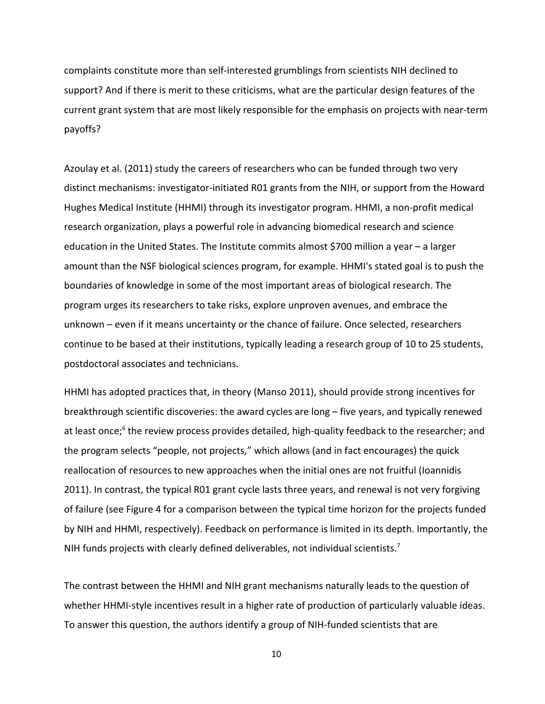complaints constitute more than self‐interested grumblings from scientists NIH declined to support? And if there is merit to these criticisms, what are the particular design features of the current grant system that are most likely responsible for the emphasis on projects with near‐term payoffs?

Azoulay et al. (2011) study the careers of researchers who can be funded through two very distinct mechanisms: investigator‐initiated R01 grants from the NIH, or support from the Howard Hughes Medical Institute (HHMI) through its investigator program. HHMI, a non‐profit medical research organization, plays a powerful role in advancing biomedical research and science education in the United States. The Institute commits almost \$700 million a year – a larger amount than the NSF biological sciences program, for example. HHMI's stated goal is to push the boundaries of knowledge in some of the most important areas of biological research. The program urges its researchers to take risks, explore unproven avenues, and embrace the unknown – even if it means uncertainty or the chance of failure. Once selected, researchers continue to be based at their institutions, typically leading a research group of 10 to 25 students, postdoctoral associates and technicians.

HHMI has adopted practices that, in theory (Manso 2011), should provide strong incentives for breakthrough scientific discoveries: the award cycles are long – five years, and typically renewed at least once;<sup>6</sup> the review process provides detailed, high-quality feedback to the researcher; and the program selects "people, not projects," which allows (and in fact encourages) the quick reallocation of resources to new approaches when the initial ones are not fruitful (Ioannidis 2011). In contrast, the typical R01 grant cycle lasts three years, and renewal is not very forgiving of failure (see Figure 4 for a comparison between the typical time horizon for the projects funded by NIH and HHMI, respectively). Feedback on performance is limited in its depth. Importantly, the NIH funds projects with clearly defined deliverables, not individual scientists.<sup>7</sup>

The contrast between the HHMI and NIH grant mechanisms naturally leads to the question of whether HHMI-style incentives result in a higher rate of production of particularly valuable ideas. To answer this question, the authors identify a group of NIH‐funded scientists that are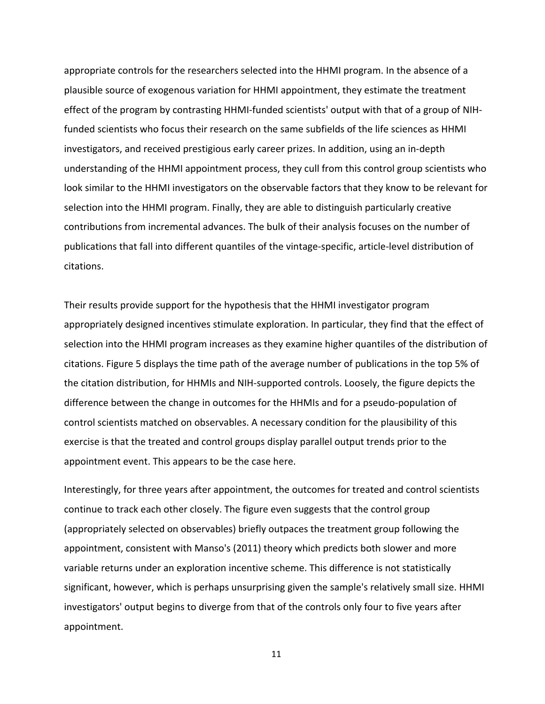appropriate controls for the researchers selected into the HHMI program. In the absence of a plausible source of exogenous variation for HHMI appointment, they estimate the treatment effect of the program by contrasting HHMI‐funded scientists' output with that of a group of NIH‐ funded scientists who focus their research on the same subfields of the life sciences as HHMI investigators, and received prestigious early career prizes. In addition, using an in‐depth understanding of the HHMI appointment process, they cull from this control group scientists who look similar to the HHMI investigators on the observable factors that they know to be relevant for selection into the HHMI program. Finally, they are able to distinguish particularly creative contributions from incremental advances. The bulk of their analysis focuses on the number of publications that fall into different quantiles of the vintage‐specific, article‐level distribution of citations.

Their results provide support for the hypothesis that the HHMI investigator program appropriately designed incentives stimulate exploration. In particular, they find that the effect of selection into the HHMI program increases as they examine higher quantiles of the distribution of citations. Figure 5 displays the time path of the average number of publications in the top 5% of the citation distribution, for HHMIs and NIH‐supported controls. Loosely, the figure depicts the difference between the change in outcomes for the HHMIs and for a pseudo‐population of control scientists matched on observables. A necessary condition for the plausibility of this exercise is that the treated and control groups display parallel output trends prior to the appointment event. This appears to be the case here.

Interestingly, for three years after appointment, the outcomes for treated and control scientists continue to track each other closely. The figure even suggests that the control group (appropriately selected on observables) briefly outpaces the treatment group following the appointment, consistent with Manso's (2011) theory which predicts both slower and more variable returns under an exploration incentive scheme. This difference is not statistically significant, however, which is perhaps unsurprising given the sample's relatively small size. HHMI investigators' output begins to diverge from that of the controls only four to five years after appointment.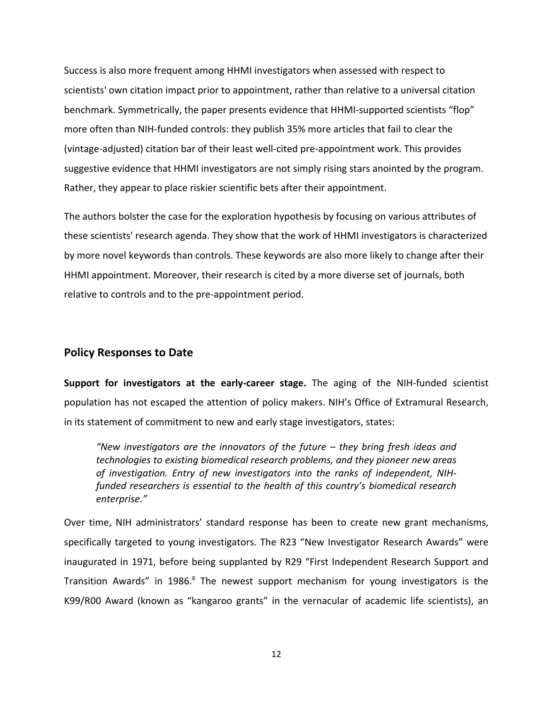Success is also more frequent among HHMI investigators when assessed with respect to scientists' own citation impact prior to appointment, rather than relative to a universal citation benchmark. Symmetrically, the paper presents evidence that HHMI‐supported scientists "flop" more often than NIH‐funded controls: they publish 35% more articles that fail to clear the (vintage‐adjusted) citation bar of their least well‐cited pre‐appointment work. This provides suggestive evidence that HHMI investigators are not simply rising stars anointed by the program. Rather, they appear to place riskier scientific bets after their appointment.

The authors bolster the case for the exploration hypothesis by focusing on various attributes of these scientists' research agenda. They show that the work of HHMI investigators is characterized by more novel keywords than controls. These keywords are also more likely to change after their HHMI appointment. Moreover, their research is cited by a more diverse set of journals, both relative to controls and to the pre‐appointment period.

# **Policy Responses to Date**

**Support for investigators at the early‐career stage.** The aging of the NIH‐funded scientist population has not escaped the attention of policy makers. NIH's Office of Extramural Research, in its statement of commitment to new and early stage investigators, states:

*"New investigators are the innovators of the future – they bring fresh ideas and technologies to existing biomedical research problems, and they pioneer new areas of investigation. Entry of new investigators into the ranks of independent, NIH‐ funded researchers is essential to the health of this country's biomedical research enterprise."*

Over time, NIH administrators' standard response has been to create new grant mechanisms, specifically targeted to young investigators. The R23 "New Investigator Research Awards" were inaugurated in 1971, before being supplanted by R29 "First Independent Research Support and Transition Awards" in 1986. $8$  The newest support mechanism for young investigators is the K99/R00 Award (known as "kangaroo grants" in the vernacular of academic life scientists), an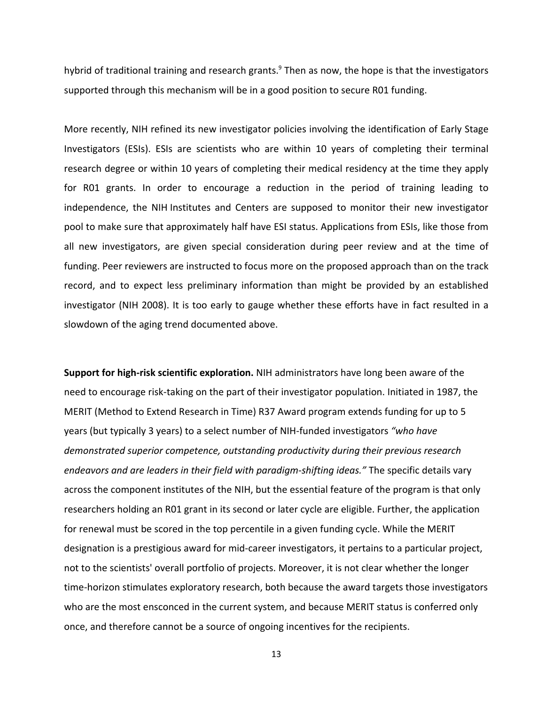hybrid of traditional training and research grants.<sup>9</sup> Then as now, the hope is that the investigators supported through this mechanism will be in a good position to secure R01 funding.

More recently, NIH refined its new investigator policies involving the identification of Early Stage Investigators (ESIs). ESIs are scientists who are within 10 years of completing their terminal research degree or within 10 years of completing their medical residency at the time they apply for R01 grants. In order to encourage a reduction in the period of training leading to independence, the NIH Institutes and Centers are supposed to monitor their new investigator pool to make sure that approximately half have ESI status. Applications from ESIs, like those from all new investigators, are given special consideration during peer review and at the time of funding. Peer reviewers are instructed to focus more on the proposed approach than on the track record, and to expect less preliminary information than might be provided by an established investigator (NIH 2008). It is too early to gauge whether these efforts have in fact resulted in a slowdown of the aging trend documented above.

**Support for high‐risk scientific exploration.** NIH administrators have long been aware of the need to encourage risk‐taking on the part of their investigator population. Initiated in 1987, the MERIT (Method to Extend Research in Time) R37 Award program extends funding for up to 5 years (but typically 3 years) to a select number of NIH‐funded investigators *"who have demonstrated superior competence, outstanding productivity during their previous research endeavors and are leaders in their field with paradigm‐shifting ideas."* The specific details vary across the component institutes of the NIH, but the essential feature of the program is that only researchers holding an R01 grant in its second or later cycle are eligible. Further, the application for renewal must be scored in the top percentile in a given funding cycle. While the MERIT designation is a prestigious award for mid‐career investigators, it pertains to a particular project, not to the scientists' overall portfolio of projects. Moreover, it is not clear whether the longer time‐horizon stimulates exploratory research, both because the award targets those investigators who are the most ensconced in the current system, and because MERIT status is conferred only once, and therefore cannot be a source of ongoing incentives for the recipients.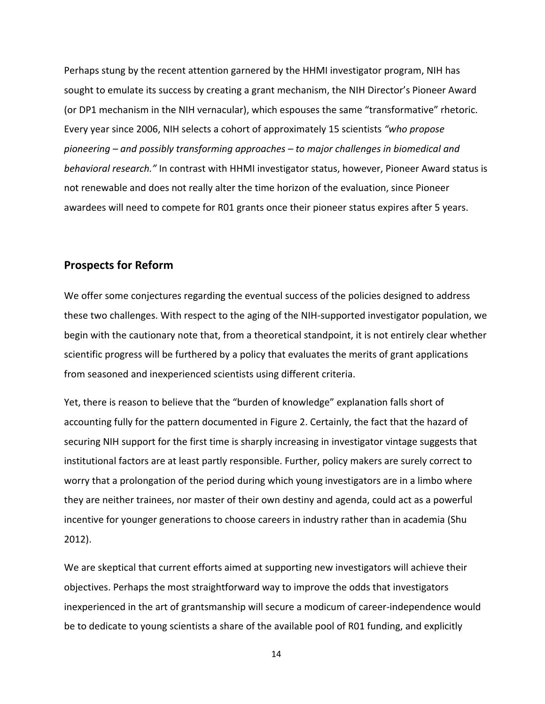Perhaps stung by the recent attention garnered by the HHMI investigator program, NIH has sought to emulate its success by creating a grant mechanism, the NIH Director's Pioneer Award (or DP1 mechanism in the NIH vernacular), which espouses the same "transformative" rhetoric. Every year since 2006, NIH selects a cohort of approximately 15 scientists *"who propose pioneering – and possibly transforming approaches – to major challenges in biomedical and behavioral research."* In contrast with HHMI investigator status, however, Pioneer Award status is not renewable and does not really alter the time horizon of the evaluation, since Pioneer awardees will need to compete for R01 grants once their pioneer status expires after 5 years.

# **Prospects for Reform**

We offer some conjectures regarding the eventual success of the policies designed to address these two challenges. With respect to the aging of the NIH‐supported investigator population, we begin with the cautionary note that, from a theoretical standpoint, it is not entirely clear whether scientific progress will be furthered by a policy that evaluates the merits of grant applications from seasoned and inexperienced scientists using different criteria.

Yet, there is reason to believe that the "burden of knowledge" explanation falls short of accounting fully for the pattern documented in Figure 2. Certainly, the fact that the hazard of securing NIH support for the first time is sharply increasing in investigator vintage suggests that institutional factors are at least partly responsible. Further, policy makers are surely correct to worry that a prolongation of the period during which young investigators are in a limbo where they are neither trainees, nor master of their own destiny and agenda, could act as a powerful incentive for younger generations to choose careers in industry rather than in academia (Shu 2012).

We are skeptical that current efforts aimed at supporting new investigators will achieve their objectives. Perhaps the most straightforward way to improve the odds that investigators inexperienced in the art of grantsmanship will secure a modicum of career-independence would be to dedicate to young scientists a share of the available pool of R01 funding, and explicitly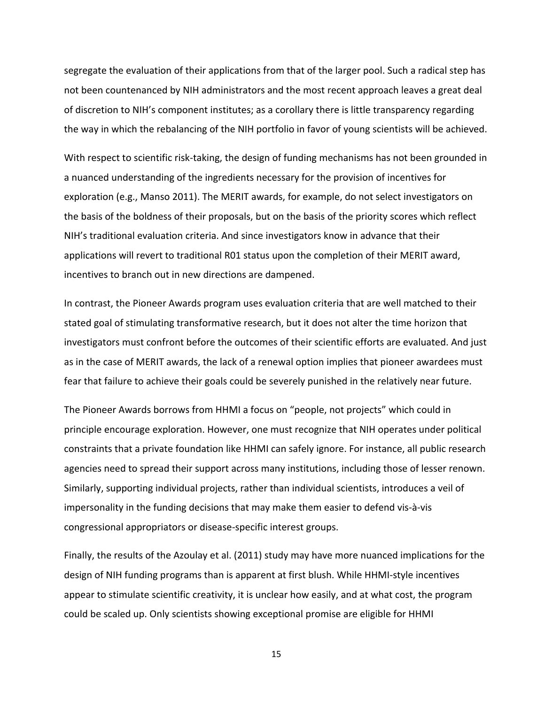segregate the evaluation of their applications from that of the larger pool. Such a radical step has not been countenanced by NIH administrators and the most recent approach leaves a great deal of discretion to NIH's component institutes; as a corollary there is little transparency regarding the way in which the rebalancing of the NIH portfolio in favor of young scientists will be achieved.

With respect to scientific risk-taking, the design of funding mechanisms has not been grounded in a nuanced understanding of the ingredients necessary for the provision of incentives for exploration (e.g., Manso 2011). The MERIT awards, for example, do not select investigators on the basis of the boldness of their proposals, but on the basis of the priority scores which reflect NIH's traditional evaluation criteria. And since investigators know in advance that their applications will revert to traditional R01 status upon the completion of their MERIT award, incentives to branch out in new directions are dampened.

In contrast, the Pioneer Awards program uses evaluation criteria that are well matched to their stated goal of stimulating transformative research, but it does not alter the time horizon that investigators must confront before the outcomes of their scientific efforts are evaluated. And just as in the case of MERIT awards, the lack of a renewal option implies that pioneer awardees must fear that failure to achieve their goals could be severely punished in the relatively near future.

The Pioneer Awards borrows from HHMI a focus on "people, not projects" which could in principle encourage exploration. However, one must recognize that NIH operates under political constraints that a private foundation like HHMI can safely ignore. For instance, all public research agencies need to spread their support across many institutions, including those of lesser renown. Similarly, supporting individual projects, rather than individual scientists, introduces a veil of impersonality in the funding decisions that may make them easier to defend vis‐à‐vis congressional appropriators or disease‐specific interest groups.

Finally, the results of the Azoulay et al. (2011) study may have more nuanced implications for the design of NIH funding programs than is apparent at first blush. While HHMI‐style incentives appear to stimulate scientific creativity, it is unclear how easily, and at what cost, the program could be scaled up. Only scientists showing exceptional promise are eligible for HHMI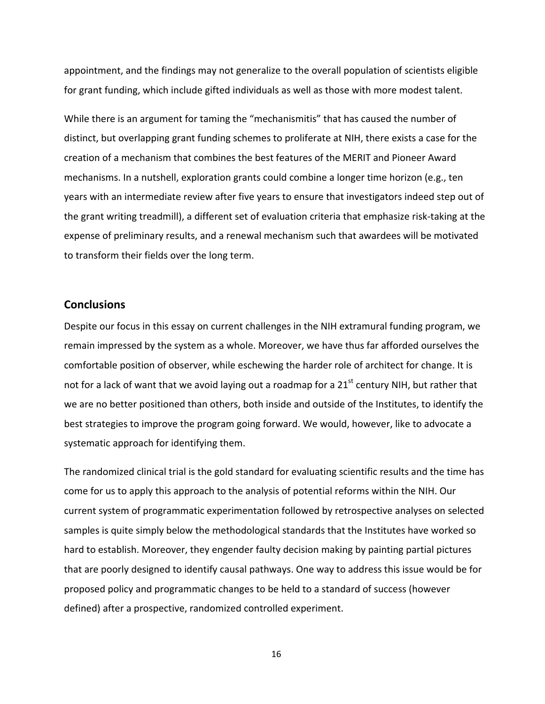appointment, and the findings may not generalize to the overall population of scientists eligible for grant funding, which include gifted individuals as well as those with more modest talent.

While there is an argument for taming the "mechanismitis" that has caused the number of distinct, but overlapping grant funding schemes to proliferate at NIH, there exists a case for the creation of a mechanism that combines the best features of the MERIT and Pioneer Award mechanisms. In a nutshell, exploration grants could combine a longer time horizon (e.g., ten years with an intermediate review after five years to ensure that investigators indeed step out of the grant writing treadmill), a different set of evaluation criteria that emphasize risk‐taking at the expense of preliminary results, and a renewal mechanism such that awardees will be motivated to transform their fields over the long term.

### **Conclusions**

Despite our focus in this essay on current challenges in the NIH extramural funding program, we remain impressed by the system as a whole. Moreover, we have thus far afforded ourselves the comfortable position of observer, while eschewing the harder role of architect for change. It is not for a lack of want that we avoid laying out a roadmap for a  $21<sup>st</sup>$  century NIH, but rather that we are no better positioned than others, both inside and outside of the Institutes, to identify the best strategies to improve the program going forward. We would, however, like to advocate a systematic approach for identifying them.

The randomized clinical trial is the gold standard for evaluating scientific results and the time has come for us to apply this approach to the analysis of potential reforms within the NIH. Our current system of programmatic experimentation followed by retrospective analyses on selected samples is quite simply below the methodological standards that the Institutes have worked so hard to establish. Moreover, they engender faulty decision making by painting partial pictures that are poorly designed to identify causal pathways. One way to address this issue would be for proposed policy and programmatic changes to be held to a standard of success (however defined) after a prospective, randomized controlled experiment.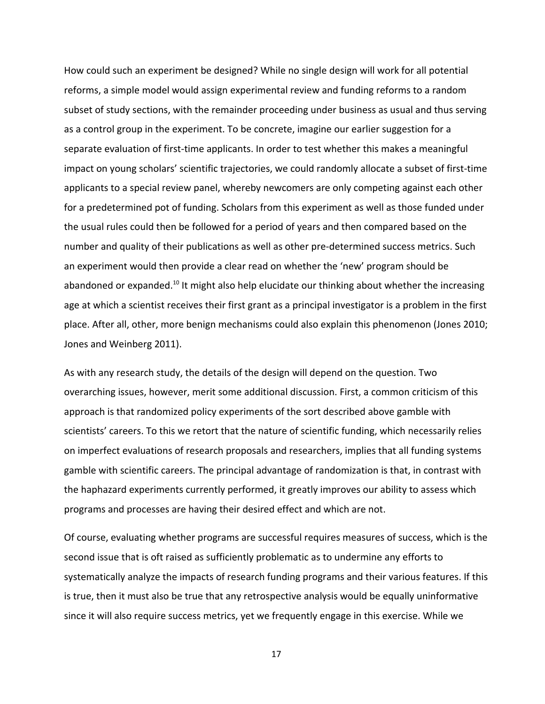How could such an experiment be designed? While no single design will work for all potential reforms, a simple model would assign experimental review and funding reforms to a random subset of study sections, with the remainder proceeding under business as usual and thus serving as a control group in the experiment. To be concrete, imagine our earlier suggestion for a separate evaluation of first-time applicants. In order to test whether this makes a meaningful impact on young scholars' scientific trajectories, we could randomly allocate a subset of first‐time applicants to a special review panel, whereby newcomers are only competing against each other for a predetermined pot of funding. Scholars from this experiment as well as those funded under the usual rules could then be followed for a period of years and then compared based on the number and quality of their publications as well as other pre‐determined success metrics. Such an experiment would then provide a clear read on whether the 'new' program should be abandoned or expanded.<sup>10</sup> It might also help elucidate our thinking about whether the increasing age at which a scientist receives their first grant as a principal investigator is a problem in the first place. After all, other, more benign mechanisms could also explain this phenomenon (Jones 2010; Jones and Weinberg 2011).

As with any research study, the details of the design will depend on the question. Two overarching issues, however, merit some additional discussion. First, a common criticism of this approach is that randomized policy experiments of the sort described above gamble with scientists' careers. To this we retort that the nature of scientific funding, which necessarily relies on imperfect evaluations of research proposals and researchers, implies that all funding systems gamble with scientific careers. The principal advantage of randomization is that, in contrast with the haphazard experiments currently performed, it greatly improves our ability to assess which programs and processes are having their desired effect and which are not.

Of course, evaluating whether programs are successful requires measures of success, which is the second issue that is oft raised as sufficiently problematic as to undermine any efforts to systematically analyze the impacts of research funding programs and their various features. If this is true, then it must also be true that any retrospective analysis would be equally uninformative since it will also require success metrics, yet we frequently engage in this exercise. While we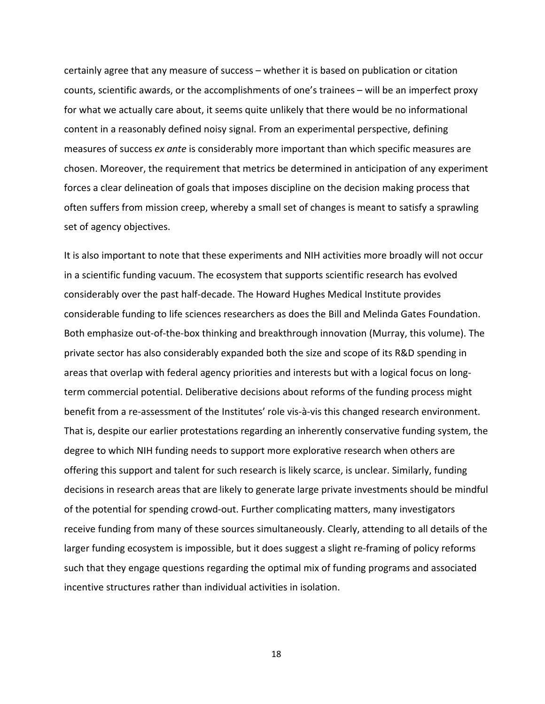certainly agree that any measure of success – whether it is based on publication or citation counts, scientific awards, or the accomplishments of one's trainees – will be an imperfect proxy for what we actually care about, it seems quite unlikely that there would be no informational content in a reasonably defined noisy signal. From an experimental perspective, defining measures of success *ex ante* is considerably more important than which specific measures are chosen. Moreover, the requirement that metrics be determined in anticipation of any experiment forces a clear delineation of goals that imposes discipline on the decision making process that often suffers from mission creep, whereby a small set of changes is meant to satisfy a sprawling set of agency objectives.

It is also important to note that these experiments and NIH activities more broadly will not occur in a scientific funding vacuum. The ecosystem that supports scientific research has evolved considerably over the past half‐decade. The Howard Hughes Medical Institute provides considerable funding to life sciences researchers as does the Bill and Melinda Gates Foundation. Both emphasize out‐of‐the‐box thinking and breakthrough innovation (Murray, this volume). The private sector has also considerably expanded both the size and scope of its R&D spending in areas that overlap with federal agency priorities and interests but with a logical focus on long‐ term commercial potential. Deliberative decisions about reforms of the funding process might benefit from a re‐assessment of the Institutes' role vis‐à‐vis this changed research environment. That is, despite our earlier protestations regarding an inherently conservative funding system, the degree to which NIH funding needs to support more explorative research when others are offering this support and talent for such research is likely scarce, is unclear. Similarly, funding decisions in research areas that are likely to generate large private investments should be mindful of the potential for spending crowd‐out. Further complicating matters, many investigators receive funding from many of these sources simultaneously. Clearly, attending to all details of the larger funding ecosystem is impossible, but it does suggest a slight re‐framing of policy reforms such that they engage questions regarding the optimal mix of funding programs and associated incentive structures rather than individual activities in isolation.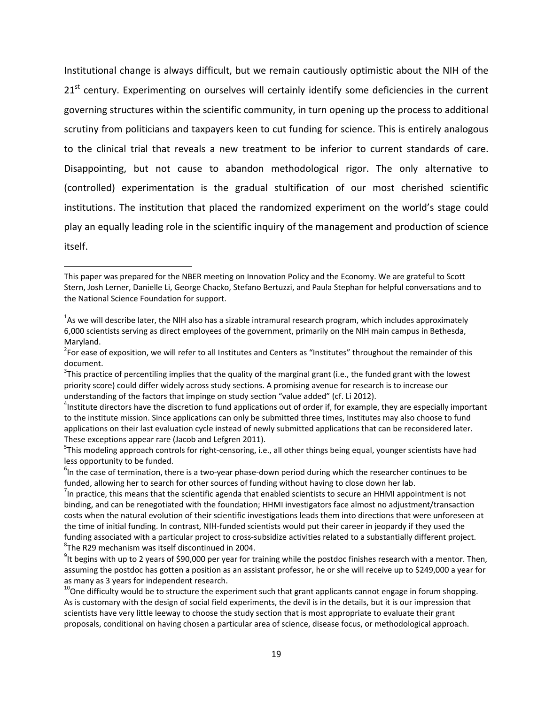Institutional change is always difficult, but we remain cautiously optimistic about the NIH of the 21<sup>st</sup> century. Experimenting on ourselves will certainly identify some deficiencies in the current governing structures within the scientific community, in turn opening up the process to additional scrutiny from politicians and taxpayers keen to cut funding for science. This is entirely analogous to the clinical trial that reveals a new treatment to be inferior to current standards of care. Disappointing, but not cause to abandon methodological rigor. The only alternative to (controlled) experimentation is the gradual stultification of our most cherished scientific institutions. The institution that placed the randomized experiment on the world's stage could play an equally leading role in the scientific inquiry of the management and production of science itself.

This paper was prepared for the NBER meeting on Innovation Policy and the Economy. We are grateful to Scott Stern, Josh Lerner, Danielle Li, George Chacko, Stefano Bertuzzi, and Paula Stephan for helpful conversations and to the National Science Foundation for support.

 $^{1}$ As we will describe later, the NIH also has a sizable intramural research program, which includes approximately 6,000 scientists serving as direct employees of the government, primarily on the NIH main campus in Bethesda, Maryland.

 $^{2}$ For ease of exposition, we will refer to all Institutes and Centers as "Institutes" throughout the remainder of this document.

 $3$ This practice of percentiling implies that the quality of the marginal grant (i.e., the funded grant with the lowest priority score) could differ widely across study sections. A promising avenue for research is to increase our understanding of the factors that impinge on study section "value added" (cf. Li 2012). <sup>4</sup>

 $<sup>4</sup>$ Institute directors have the discretion to fund applications out of order if, for example, they are especially important</sup> to the institute mission. Since applications can only be submitted three times, Institutes may also choose to fund applications on their last evaluation cycle instead of newly submitted applications that can be reconsidered later. These exceptions appear rare (Jacob and Lefgren 2011).

<sup>&</sup>lt;sup>5</sup>This modeling approach controls for right-censoring, i.e., all other things being equal, younger scientists have had less opportunity to be funded.

 $<sup>6</sup>$ In the case of termination, there is a two-year phase-down period during which the researcher continues to be</sup> funded, allowing her to search for other sources of funding without having to close down her lab.

 $<sup>7</sup>$ In practice, this means that the scientific agenda that enabled scientists to secure an HHMI appointment is not</sup> binding, and can be renegotiated with the foundation; HHMI investigators face almost no adjustment/transaction costs when the natural evolution of their scientific investigations leads them into directions that were unforeseen at the time of initial funding. In contrast, NIH‐funded scientists would put their career in jeopardy if they used the funding associated with a particular project to cross-subsidize activities related to a substantially different project.  ${}^{8}$ The R29 mechanism was itself discontinued in 2004.

 $9$ It begins with up to 2 years of \$90,000 per year for training while the postdoc finishes research with a mentor. Then, assuming the postdoc has gotten a position as an assistant professor, he or she will receive up to \$249,000 a year for<br>as many as 3 years for independent research.

 $10$ One difficulty would be to structure the experiment such that grant applicants cannot engage in forum shopping. As is customary with the design of social field experiments, the devil is in the details, but it is our impression that scientists have very little leeway to choose the study section that is most appropriate to evaluate their grant proposals, conditional on having chosen a particular area of science, disease focus, or methodological approach.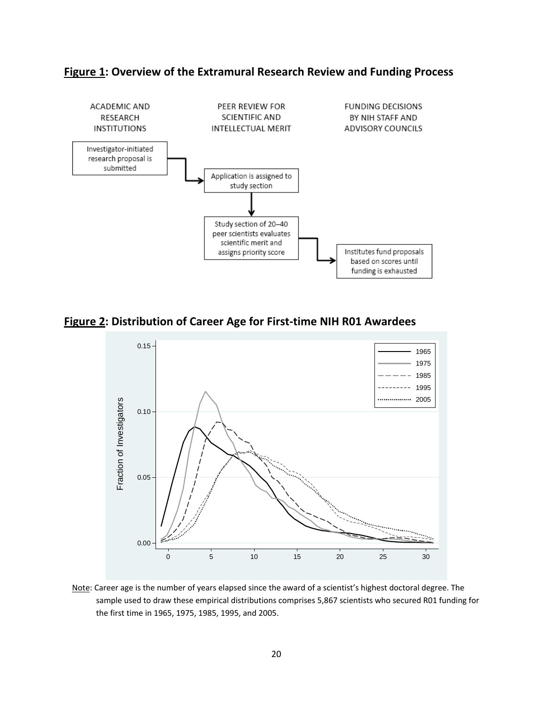



**Figure 2: Distribution of Career Age for First‐time NIH R01 Awardees**



Note: Career age is the number of years elapsed since the award of a scientist's highest doctoral degree. The sample used to draw these empirical distributions comprises 5,867 scientists who secured R01 funding for the first time in 1965, 1975, 1985, 1995, and 2005.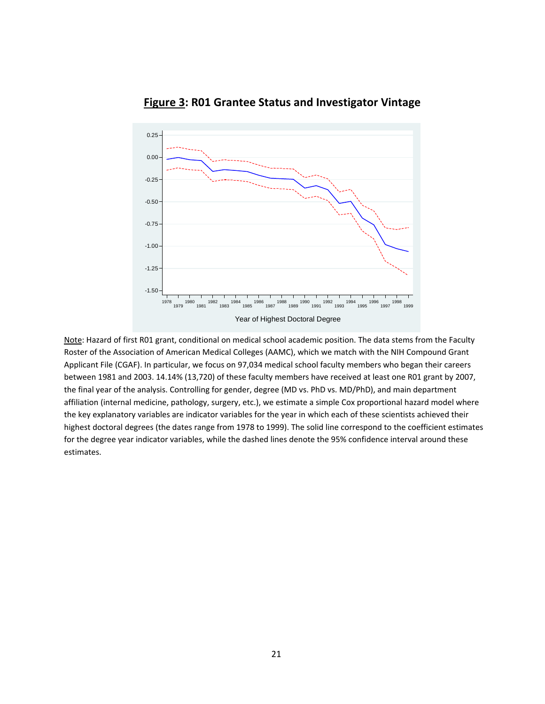

# **Figure 3: R01 Grantee Status and Investigator Vintage**

Note: Hazard of first R01 grant, conditional on medical school academic position. The data stems from the Faculty Roster of the Association of American Medical Colleges (AAMC), which we match with the NIH Compound Grant Applicant File (CGAF). In particular, we focus on 97,034 medical school faculty members who began their careers between 1981 and 2003. 14.14% (13,720) of these faculty members have received at least one R01 grant by 2007, the final year of the analysis. Controlling for gender, degree (MD vs. PhD vs. MD/PhD), and main department affiliation (internal medicine, pathology, surgery, etc.), we estimate a simple Cox proportional hazard model where the key explanatory variables are indicator variables for the year in which each of these scientists achieved their highest doctoral degrees (the dates range from 1978 to 1999). The solid line correspond to the coefficient estimates for the degree year indicator variables, while the dashed lines denote the 95% confidence interval around these estimates.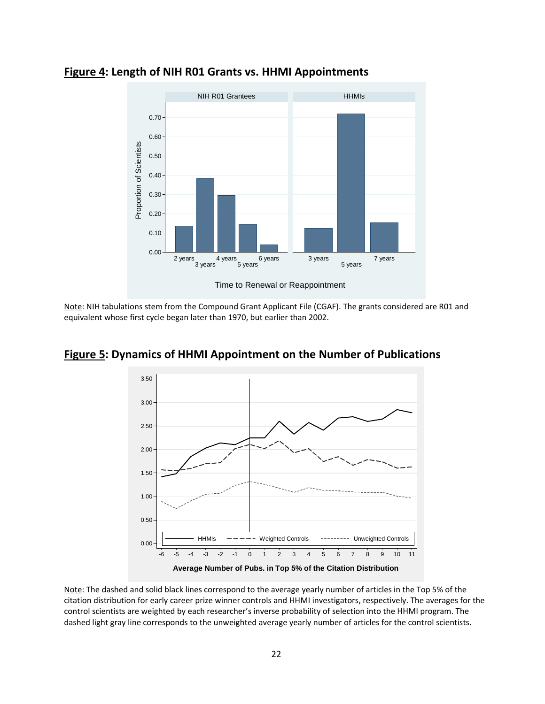

# **Figure 4: Length of NIH R01 Grants vs. HHMI Appointments**

Note: NIH tabulations stem from the Compound Grant Applicant File (CGAF). The grants considered are R01 and equivalent whose first cycle began later than 1970, but earlier than 2002.



# **Figure 5: Dynamics of HHMI Appointment on the Number of Publications**

Note: The dashed and solid black lines correspond to the average yearly number of articles in the Top 5% of the citation distribution for early career prize winner controls and HHMI investigators, respectively. The averages for the control scientists are weighted by each researcher's inverse probability of selection into the HHMI program. The dashed light gray line corresponds to the unweighted average yearly number of articles for the control scientists.